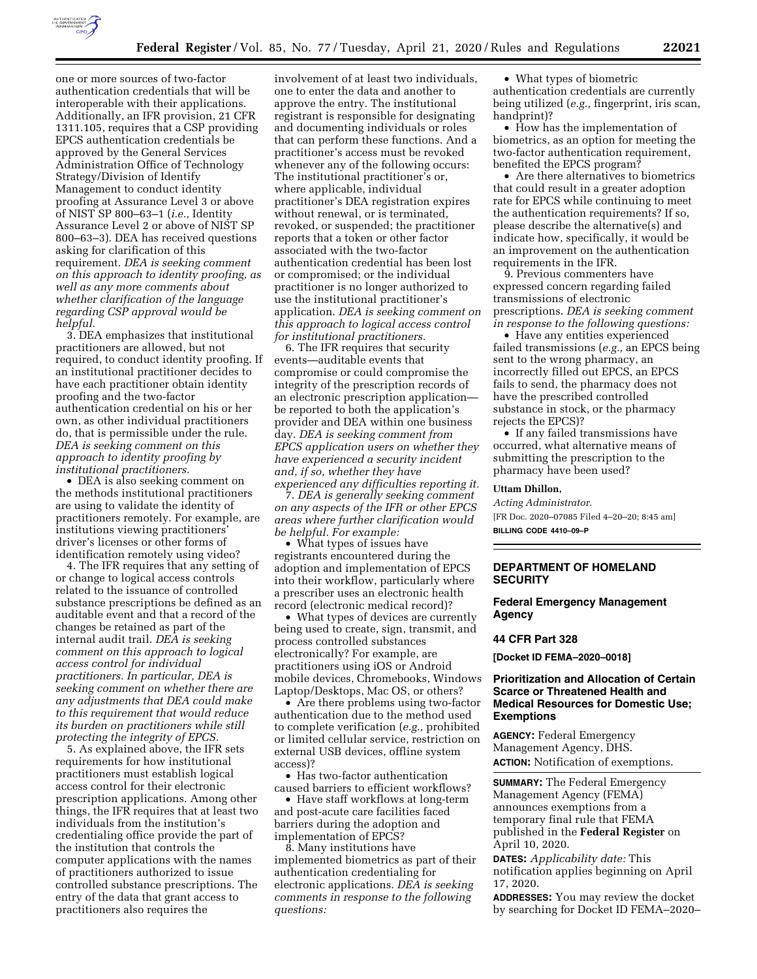

one or more sources of two-factor authentication credentials that will be interoperable with their applications. Additionally, an IFR provision, 21 CFR 1311.105, requires that a CSP providing EPCS authentication credentials be approved by the General Services Administration Office of Technology Strategy/Division of Identify Management to conduct identity proofing at Assurance Level 3 or above of NIST SP 800–63–1 (*i.e.,* Identity Assurance Level 2 or above of NIST SP 800–63–3). DEA has received questions asking for clarification of this requirement. *DEA is seeking comment on this approach to identity proofing, as well as any more comments about whether clarification of the language regarding CSP approval would be helpful.* 

3. DEA emphasizes that institutional practitioners are allowed, but not required, to conduct identity proofing. If an institutional practitioner decides to have each practitioner obtain identity proofing and the two-factor authentication credential on his or her own, as other individual practitioners do, that is permissible under the rule. *DEA is seeking comment on this approach to identity proofing by institutional practitioners.* 

• DEA is also seeking comment on the methods institutional practitioners are using to validate the identity of practitioners remotely. For example, are institutions viewing practitioners' driver's licenses or other forms of identification remotely using video?

4. The IFR requires that any setting of or change to logical access controls related to the issuance of controlled substance prescriptions be defined as an auditable event and that a record of the changes be retained as part of the internal audit trail. *DEA is seeking comment on this approach to logical access control for individual practitioners. In particular, DEA is seeking comment on whether there are any adjustments that DEA could make to this requirement that would reduce its burden on practitioners while still protecting the integrity of EPCS.* 

5. As explained above, the IFR sets requirements for how institutional practitioners must establish logical access control for their electronic prescription applications. Among other things, the IFR requires that at least two individuals from the institution's credentialing office provide the part of the institution that controls the computer applications with the names of practitioners authorized to issue controlled substance prescriptions. The entry of the data that grant access to practitioners also requires the

involvement of at least two individuals one to enter the data and another to approve the entry. The institutional registrant is responsible for designating and documenting individuals or roles that can perform these functions. And a practitioner's access must be revoked whenever any of the following occurs: The institutional practitioner's or, where applicable, individual practitioner's DEA registration expires without renewal, or is terminated, revoked, or suspended; the practitioner reports that a token or other factor associated with the two-factor authentication credential has been lost or compromised; or the individual practitioner is no longer authorized to use the institutional practitioner's application. *DEA is seeking comment on this approach to logical access control for institutional practitioners.* 

6. The IFR requires that security events—auditable events that compromise or could compromise the integrity of the prescription records of an electronic prescription application be reported to both the application's provider and DEA within one business day. *DEA is seeking comment from EPCS application users on whether they have experienced a security incident and, if so, whether they have experienced any difficulties reporting it.* 

7. *DEA is generally seeking comment on any aspects of the IFR or other EPCS areas where further clarification would be helpful. For example:* 

• What types of issues have registrants encountered during the adoption and implementation of EPCS into their workflow, particularly where a prescriber uses an electronic health record (electronic medical record)?

• What types of devices are currently being used to create, sign, transmit, and process controlled substances electronically? For example, are practitioners using iOS or Android mobile devices, Chromebooks, Windows Laptop/Desktops, Mac OS, or others?

• Are there problems using two-factor authentication due to the method used to complete verification (*e.g.,* prohibited or limited cellular service, restriction on external USB devices, offline system access)?

• Has two-factor authentication caused barriers to efficient workflows?

• Have staff workflows at long-term and post-acute care facilities faced barriers during the adoption and implementation of EPCS?

8. Many institutions have implemented biometrics as part of their authentication credentialing for electronic applications. *DEA is seeking comments in response to the following questions:* 

• What types of biometric

authentication credentials are currently being utilized (*e.g.,* fingerprint, iris scan, handprint)?

• How has the implementation of biometrics, as an option for meeting the two-factor authentication requirement, benefited the EPCS program?

• Are there alternatives to biometrics that could result in a greater adoption rate for EPCS while continuing to meet the authentication requirements? If so, please describe the alternative(s) and indicate how, specifically, it would be an improvement on the authentication requirements in the IFR.

9. Previous commenters have expressed concern regarding failed transmissions of electronic prescriptions. *DEA is seeking comment in response to the following questions:* 

• Have any entities experienced failed transmissions (*e.g.,* an EPCS being sent to the wrong pharmacy, an incorrectly filled out EPCS, an EPCS fails to send, the pharmacy does not have the prescribed controlled substance in stock, or the pharmacy rejects the EPCS)?

• If any failed transmissions have occurred, what alternative means of submitting the prescription to the pharmacy have been used?

## **Uttam Dhillon,**

*Acting Administrator.*  [FR Doc. 2020–07085 Filed 4–20–20; 8:45 am] **BILLING CODE 4410–09–P** 

### **DEPARTMENT OF HOMELAND SECURITY**

## **Federal Emergency Management Agency**

### **44 CFR Part 328**

**[Docket ID FEMA–2020–0018]** 

## **Prioritization and Allocation of Certain Scarce or Threatened Health and Medical Resources for Domestic Use; Exemptions**

**AGENCY:** Federal Emergency Management Agency, DHS. **ACTION:** Notification of exemptions.

**SUMMARY:** The Federal Emergency Management Agency (FEMA) announces exemptions from a temporary final rule that FEMA published in the **Federal Register** on April 10, 2020.

**DATES:** *Applicability date:* This notification applies beginning on April 17, 2020.

**ADDRESSES:** You may review the docket by searching for Docket ID FEMA–2020–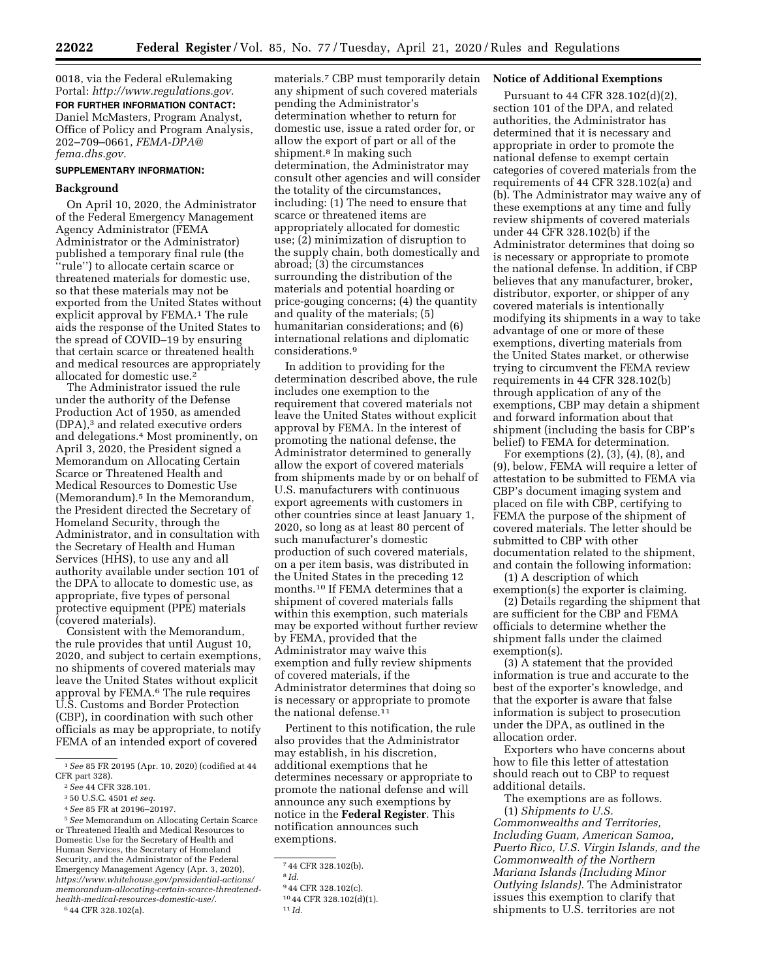0018, via the Federal eRulemaking Portal: *[http://www.regulations.gov.](http://www.regulations.gov)*  **FOR FURTHER INFORMATION CONTACT:**  Daniel McMasters, Program Analyst, Office of Policy and Program Analysis, 202–709–0661, *[FEMA-DPA@](mailto:FEMA-DPA@fema.dhs.gov) [fema.dhs.gov.](mailto:FEMA-DPA@fema.dhs.gov)* 

# **SUPPLEMENTARY INFORMATION:**

### **Background**

On April 10, 2020, the Administrator of the Federal Emergency Management Agency Administrator (FEMA Administrator or the Administrator) published a temporary final rule (the ''rule'') to allocate certain scarce or threatened materials for domestic use, so that these materials may not be exported from the United States without explicit approval by FEMA.<sup>1</sup> The rule aids the response of the United States to the spread of COVID–19 by ensuring that certain scarce or threatened health and medical resources are appropriately allocated for domestic use.2

The Administrator issued the rule under the authority of the Defense Production Act of 1950, as amended (DPA),3 and related executive orders and delegations.4 Most prominently, on April 3, 2020, the President signed a Memorandum on Allocating Certain Scarce or Threatened Health and Medical Resources to Domestic Use (Memorandum).<sup>5</sup> In the Memorandum, the President directed the Secretary of Homeland Security, through the Administrator, and in consultation with the Secretary of Health and Human Services (HHS), to use any and all authority available under section 101 of the DPA to allocate to domestic use, as appropriate, five types of personal protective equipment (PPE) materials (covered materials).

Consistent with the Memorandum, the rule provides that until August 10, 2020, and subject to certain exemptions, no shipments of covered materials may leave the United States without explicit approval by FEMA.<sup>6</sup> The rule requires U.S. Customs and Border Protection (CBP), in coordination with such other officials as may be appropriate, to notify FEMA of an intended export of covered

5*See* Memorandum on Allocating Certain Scarce or Threatened Health and Medical Resources to Domestic Use for the Secretary of Health and Human Services, the Secretary of Homeland Security, and the Administrator of the Federal Emergency Management Agency (Apr. 3, 2020), *[https://www.whitehouse.gov/presidential-actions/](https://www.whitehouse.gov/presidential-actions/memorandum-allocating-certain-scarce-threatened-health-medical-resources-domestic-use/)  [memorandum-allocating-certain-scarce-threatened](https://www.whitehouse.gov/presidential-actions/memorandum-allocating-certain-scarce-threatened-health-medical-resources-domestic-use/)[health-medical-resources-domestic-use/.](https://www.whitehouse.gov/presidential-actions/memorandum-allocating-certain-scarce-threatened-health-medical-resources-domestic-use/)* 

6 44 CFR 328.102(a).

materials.7 CBP must temporarily detain any shipment of such covered materials pending the Administrator's determination whether to return for domestic use, issue a rated order for, or allow the export of part or all of the shipment.<sup>8</sup> In making such determination, the Administrator may consult other agencies and will consider the totality of the circumstances, including: (1) The need to ensure that scarce or threatened items are appropriately allocated for domestic use; (2) minimization of disruption to the supply chain, both domestically and abroad; (3) the circumstances surrounding the distribution of the materials and potential hoarding or price-gouging concerns; (4) the quantity and quality of the materials; (5) humanitarian considerations; and (6) international relations and diplomatic considerations.9

In addition to providing for the determination described above, the rule includes one exemption to the requirement that covered materials not leave the United States without explicit approval by FEMA. In the interest of promoting the national defense, the Administrator determined to generally allow the export of covered materials from shipments made by or on behalf of U.S. manufacturers with continuous export agreements with customers in other countries since at least January 1, 2020, so long as at least 80 percent of such manufacturer's domestic production of such covered materials, on a per item basis, was distributed in the United States in the preceding 12 months.10 If FEMA determines that a shipment of covered materials falls within this exemption, such materials may be exported without further review by FEMA, provided that the Administrator may waive this exemption and fully review shipments of covered materials, if the Administrator determines that doing so is necessary or appropriate to promote the national defense.11

Pertinent to this notification, the rule also provides that the Administrator may establish, in his discretion, additional exemptions that he determines necessary or appropriate to promote the national defense and will announce any such exemptions by notice in the **Federal Register**. This notification announces such exemptions.

#### **Notice of Additional Exemptions**

Pursuant to 44 CFR 328.102(d)(2), section 101 of the DPA, and related authorities, the Administrator has determined that it is necessary and appropriate in order to promote the national defense to exempt certain categories of covered materials from the requirements of 44 CFR 328.102(a) and (b). The Administrator may waive any of these exemptions at any time and fully review shipments of covered materials under 44 CFR 328.102(b) if the Administrator determines that doing so is necessary or appropriate to promote the national defense. In addition, if CBP believes that any manufacturer, broker, distributor, exporter, or shipper of any covered materials is intentionally modifying its shipments in a way to take advantage of one or more of these exemptions, diverting materials from the United States market, or otherwise trying to circumvent the FEMA review requirements in 44 CFR 328.102(b) through application of any of the exemptions, CBP may detain a shipment and forward information about that shipment (including the basis for CBP's belief) to FEMA for determination.

For exemptions (2), (3), (4), (8), and (9), below, FEMA will require a letter of attestation to be submitted to FEMA via CBP's document imaging system and placed on file with CBP, certifying to FEMA the purpose of the shipment of covered materials. The letter should be submitted to CBP with other documentation related to the shipment, and contain the following information:

(1) A description of which exemption(s) the exporter is claiming.

(2) Details regarding the shipment that are sufficient for the CBP and FEMA officials to determine whether the shipment falls under the claimed exemption(s).

(3) A statement that the provided information is true and accurate to the best of the exporter's knowledge, and that the exporter is aware that false information is subject to prosecution under the DPA, as outlined in the allocation order.

Exporters who have concerns about how to file this letter of attestation should reach out to CBP to request additional details.

The exemptions are as follows. (1) *Shipments to U.S. Commonwealths and Territories, Including Guam, American Samoa, Puerto Rico, U.S. Virgin Islands, and the Commonwealth of the Northern Mariana Islands (Including Minor Outlying Islands).* The Administrator issues this exemption to clarify that shipments to U.S. territories are not

<sup>1</sup>*See* 85 FR 20195 (Apr. 10, 2020) (codified at 44 CFR part 328).

<sup>2</sup>*See* 44 CFR 328.101.

<sup>3</sup> 50 U.S.C. 4501 *et seq.* 

<sup>4</sup>*See* 85 FR at 20196–20197.

<sup>7</sup> 44 CFR 328.102(b).

<sup>8</sup> *Id.* 

<sup>9</sup> 44 CFR 328.102(c). 10 44 CFR 328.102(d)(1). 11 *Id.*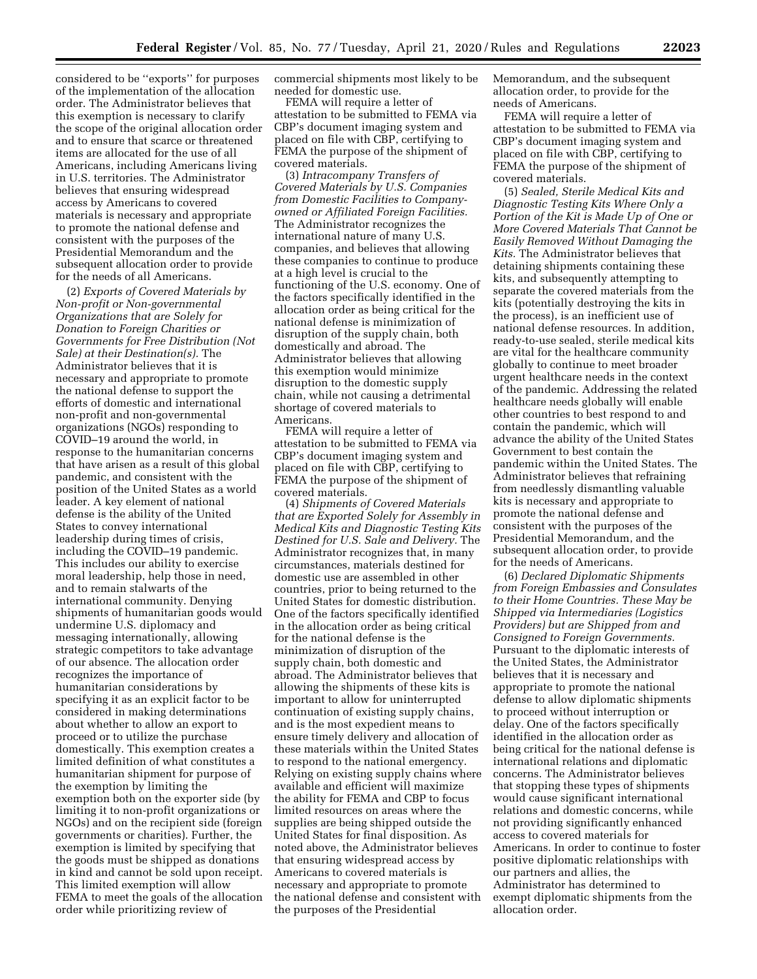considered to be ''exports'' for purposes of the implementation of the allocation order. The Administrator believes that this exemption is necessary to clarify the scope of the original allocation order and to ensure that scarce or threatened items are allocated for the use of all Americans, including Americans living in U.S. territories. The Administrator believes that ensuring widespread access by Americans to covered materials is necessary and appropriate to promote the national defense and consistent with the purposes of the Presidential Memorandum and the subsequent allocation order to provide for the needs of all Americans.

(2) *Exports of Covered Materials by Non-profit or Non-governmental Organizations that are Solely for Donation to Foreign Charities or Governments for Free Distribution (Not Sale) at their Destination(s).* The Administrator believes that it is necessary and appropriate to promote the national defense to support the efforts of domestic and international non-profit and non-governmental organizations (NGOs) responding to COVID–19 around the world, in response to the humanitarian concerns that have arisen as a result of this global pandemic, and consistent with the position of the United States as a world leader. A key element of national defense is the ability of the United States to convey international leadership during times of crisis, including the COVID–19 pandemic. This includes our ability to exercise moral leadership, help those in need, and to remain stalwarts of the international community. Denying shipments of humanitarian goods would undermine U.S. diplomacy and messaging internationally, allowing strategic competitors to take advantage of our absence. The allocation order recognizes the importance of humanitarian considerations by specifying it as an explicit factor to be considered in making determinations about whether to allow an export to proceed or to utilize the purchase domestically. This exemption creates a limited definition of what constitutes a humanitarian shipment for purpose of the exemption by limiting the exemption both on the exporter side (by limiting it to non-profit organizations or NGOs) and on the recipient side (foreign governments or charities). Further, the exemption is limited by specifying that the goods must be shipped as donations in kind and cannot be sold upon receipt. This limited exemption will allow FEMA to meet the goals of the allocation order while prioritizing review of

commercial shipments most likely to be needed for domestic use.

FEMA will require a letter of attestation to be submitted to FEMA via CBP's document imaging system and placed on file with CBP, certifying to FEMA the purpose of the shipment of covered materials.

(3) *Intracompany Transfers of Covered Materials by U.S. Companies from Domestic Facilities to Companyowned or Affiliated Foreign Facilities.*  The Administrator recognizes the international nature of many U.S. companies, and believes that allowing these companies to continue to produce at a high level is crucial to the functioning of the U.S. economy. One of the factors specifically identified in the allocation order as being critical for the national defense is minimization of disruption of the supply chain, both domestically and abroad. The Administrator believes that allowing this exemption would minimize disruption to the domestic supply chain, while not causing a detrimental shortage of covered materials to Americans.

FEMA will require a letter of attestation to be submitted to FEMA via CBP's document imaging system and placed on file with CBP, certifying to FEMA the purpose of the shipment of covered materials.

(4) *Shipments of Covered Materials that are Exported Solely for Assembly in Medical Kits and Diagnostic Testing Kits Destined for U.S. Sale and Delivery.* The Administrator recognizes that, in many circumstances, materials destined for domestic use are assembled in other countries, prior to being returned to the United States for domestic distribution. One of the factors specifically identified in the allocation order as being critical for the national defense is the minimization of disruption of the supply chain, both domestic and abroad. The Administrator believes that allowing the shipments of these kits is important to allow for uninterrupted continuation of existing supply chains, and is the most expedient means to ensure timely delivery and allocation of these materials within the United States to respond to the national emergency. Relying on existing supply chains where available and efficient will maximize the ability for FEMA and CBP to focus limited resources on areas where the supplies are being shipped outside the United States for final disposition. As noted above, the Administrator believes that ensuring widespread access by Americans to covered materials is necessary and appropriate to promote the national defense and consistent with the purposes of the Presidential

Memorandum, and the subsequent allocation order, to provide for the needs of Americans.

FEMA will require a letter of attestation to be submitted to FEMA via CBP's document imaging system and placed on file with CBP, certifying to FEMA the purpose of the shipment of covered materials.

(5) *Sealed, Sterile Medical Kits and Diagnostic Testing Kits Where Only a Portion of the Kit is Made Up of One or More Covered Materials That Cannot be Easily Removed Without Damaging the Kits.* The Administrator believes that detaining shipments containing these kits, and subsequently attempting to separate the covered materials from the kits (potentially destroying the kits in the process), is an inefficient use of national defense resources. In addition, ready-to-use sealed, sterile medical kits are vital for the healthcare community globally to continue to meet broader urgent healthcare needs in the context of the pandemic. Addressing the related healthcare needs globally will enable other countries to best respond to and contain the pandemic, which will advance the ability of the United States Government to best contain the pandemic within the United States. The Administrator believes that refraining from needlessly dismantling valuable kits is necessary and appropriate to promote the national defense and consistent with the purposes of the Presidential Memorandum, and the subsequent allocation order, to provide for the needs of Americans.

(6) *Declared Diplomatic Shipments from Foreign Embassies and Consulates to their Home Countries. These May be Shipped via Intermediaries (Logistics Providers) but are Shipped from and Consigned to Foreign Governments.*  Pursuant to the diplomatic interests of the United States, the Administrator believes that it is necessary and appropriate to promote the national defense to allow diplomatic shipments to proceed without interruption or delay. One of the factors specifically identified in the allocation order as being critical for the national defense is international relations and diplomatic concerns. The Administrator believes that stopping these types of shipments would cause significant international relations and domestic concerns, while not providing significantly enhanced access to covered materials for Americans. In order to continue to foster positive diplomatic relationships with our partners and allies, the Administrator has determined to exempt diplomatic shipments from the allocation order.